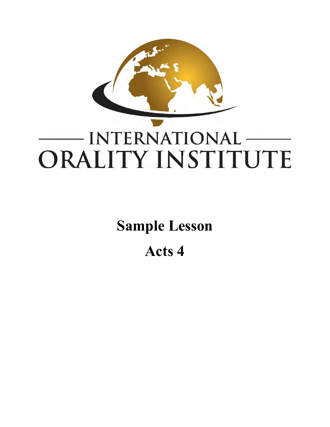

**Sample Lesson** 

**Acts 4**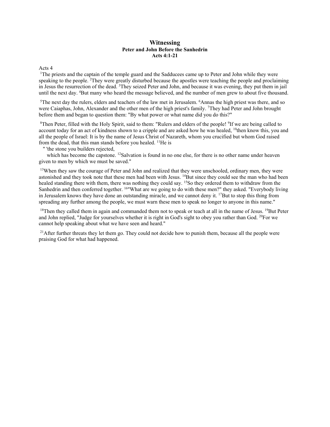## **Witnessing Peter and John Before the Sanhedrin Acts 4:1-21**

Acts 4

<sup>1</sup>The priests and the captain of the temple guard and the Sadducees came up to Peter and John while they were speaking to the people. <sup>2</sup>They were greatly disturbed because the apostles were teaching the people and proclaiming in Jesus the resurrection of the dead. <sup>3</sup>They seized Peter and John, and because it was evening, they put them in jail until the next day. 4 But many who heard the message believed, and the number of men grew to about five thousand.

<sup>5</sup>The next day the rulers, elders and teachers of the law met in Jerusalem. <sup>6</sup>Annas the high priest was there, and so were Caiaphas, John, Alexander and the other men of the high priest's family. <sup>7</sup>They had Peter and John brought before them and began to question them: "By what power or what name did you do this?"

<sup>8</sup>Then Peter, filled with the Holy Spirit, said to them: "Rulers and elders of the people! <sup>9</sup>If we are being called to account today for an act of kindness shown to a cripple and are asked how he was healed, <sup>10</sup>then know this, you and all the people of Israel: It is by the name of Jesus Christ of Nazareth, whom you crucified but whom God raised from the dead, that this man stands before you healed. <sup>11</sup>He is

" 'the stone you builders rejected,

which has become the capstone. <sup>12</sup>Salvation is found in no one else, for there is no other name under heaven given to men by which we must be saved."

<sup>13</sup>When they saw the courage of Peter and John and realized that they were unschooled, ordinary men, they were astonished and they took note that these men had been with Jesus. <sup>14</sup>But since they could see the man who had been healed standing there with them, there was nothing they could say. <sup>15</sup>So they ordered them to withdraw from the Sanhedrin and then conferred together. <sup>16</sup>"What are we going to do with these men?" they asked. "Everybody living in Jerusalem knows they have done an outstanding miracle, and we cannot deny it. <sup>17</sup>But to stop this thing from spreading any further among the people, we must warn these men to speak no longer to anyone in this name."

<sup>18</sup>Then they called them in again and commanded them not to speak or teach at all in the name of Jesus. <sup>19</sup>But Peter and John replied, "Judge for yourselves whether it is right in God's sight to obey you rather than God. 20For we cannot help speaking about what we have seen and heard."

<sup>21</sup>After further threats they let them go. They could not decide how to punish them, because all the people were praising God for what had happened.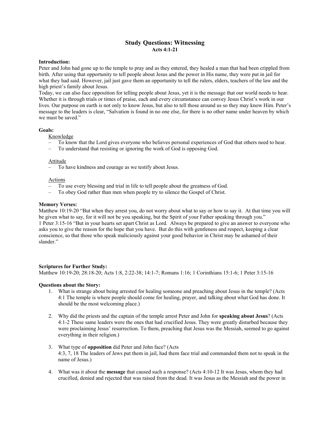# **Study Questions: Witnessing Acts 4:1-21**

# **Introduction:**

Peter and John had gone up to the temple to pray and as they entered, they healed a man that had been crippled from birth. After using that opportunity to tell people about Jesus and the power in His name, they were put in jail for what they had said. However, jail just gave them an opportunity to tell the rulers, elders, teachers of the law and the high priest's family about Jesus.

Today, we can also face opposition for telling people about Jesus, yet it is the message that our world needs to hear. Whether it is through trials or times of praise, each and every circumstance can convey Jesus Christ's work in our lives. Our purpose on earth is not only to know Jesus, but also to tell those around us so they may know Him. Peter's message to the leaders is clear, "Salvation is found in no one else, for there is no other name under heaven by which we must be saved."

## **Goals:**

Knowledge

- To know that the Lord gives everyone who believes personal experiences of God that others need to hear.
- To understand that resisting or ignoring the work of God is opposing God.

#### Attitude

– To have kindness and courage as we testify about Jesus.

## Actions

- To use every blessing and trial in life to tell people about the greatness of God.
- To obey God rather than men when people try to silence the Gospel of Christ.

## **Memory Verses:**

Matthew 10:19-20 "But when they arrest you, do not worry about what to say or how to say it. At that time you will be given what to say, for it will not be you speaking, but the Spirit of your Father speaking through you." 1 Peter 3:15-16 "But in your hearts set apart Christ as Lord. Always be prepared to give an answer to everyone who asks you to give the reason for the hope that you have. But do this with gentleness and respect, keeping a clear conscience, so that those who speak maliciously against your good behavior in Christ may be ashamed of their slander."

#### **Scriptures for Further Study:**

Matthew 10:19-20; 28:18-20; Acts 1:8, 2:22-38; 14:1-7; Romans 1:16; 1 Corinthians 15:1-6; 1 Peter 3:15-16

#### **Questions about the Story:**

- 1. What is strange about being arrested for healing someone and preaching about Jesus in the temple? (Acts 4:1 The temple is where people should come for healing, prayer, and talking about what God has done. It should be the most welcoming place.)
- 2. Why did the priests and the captain of the temple arrest Peter and John for **speaking about Jesus**? (Acts 4:1-2 These same leaders were the ones that had crucified Jesus. They were greatly disturbed because they were proclaiming Jesus' resurrection. To them, preaching that Jesus was the Messiah, seemed to go against everything in their religion.)
- 3. What type of **opposition** did Peter and John face? (Acts 4:3, 7, 18 The leaders of Jews put them in jail, had them face trial and commanded them not to speak in the name of Jesus.)
- 4. What was it about the **message** that caused such a response? (Acts 4:10-12 It was Jesus, whom they had crucified, denied and rejected that was raised from the dead. It was Jesus as the Messiah and the power in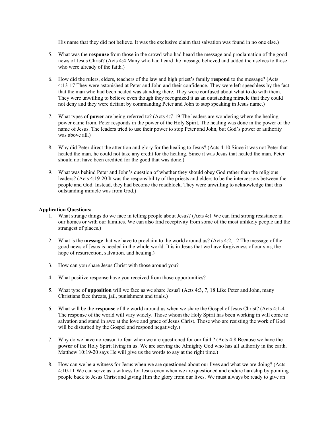His name that they did not believe. It was the exclusive claim that salvation was found in no one else.)

- 5. What was the **response** from those in the crowd who had heard the message and proclamation of the good news of Jesus Christ? (Acts 4:4 Many who had heard the message believed and added themselves to those who were already of the faith.)
- 6. How did the rulers, elders, teachers of the law and high priest's family **respond** to the message? (Acts 4:13-17 They were astonished at Peter and John and their confidence. They were left speechless by the fact that the man who had been healed was standing there. They were confused about what to do with them. They were unwilling to believe even though they recognized it as an outstanding miracle that they could not deny and they were defiant by commanding Peter and John to stop speaking in Jesus name.)
- 7. What types of **power** are being referred to? (Acts 4:7-19 The leaders are wondering where the healing power came from. Peter responds in the power of the Holy Spirit. The healing was done in the power of the name of Jesus. The leaders tried to use their power to stop Peter and John, but God's power or authority was above all.)
- 8. Why did Peter direct the attention and glory for the healing to Jesus? (Acts 4:10 Since it was not Peter that healed the man, he could not take any credit for the healing. Since it was Jesus that healed the man, Peter should not have been credited for the good that was done.)
- 9. What was behind Peter and John's question of whether they should obey God rather than the religious leaders? (Acts 4:19-20 It was the responsibility of the priests and elders to be the intercessors between the people and God. Instead, they had become the roadblock. They were unwilling to acknowledge that this outstanding miracle was from God.)

## **Application Questions:**

- 1. What strange things do we face in telling people about Jesus? (Acts 4:1 We can find strong resistance in our homes or with our families. We can also find receptivity from some of the most unlikely people and the strangest of places.)
- 2. What is the **message** that we have to proclaim to the world around us? (Acts 4:2, 12 The message of the good news of Jesus is needed in the whole world. It is in Jesus that we have forgiveness of our sins, the hope of resurrection, salvation, and healing.)
- 3. How can you share Jesus Christ with those around you?
- 4. What positive response have you received from those opportunities?
- 5. What type of **opposition** will we face as we share Jesus? (Acts 4:3, 7, 18 Like Peter and John, many Christians face threats, jail, punishment and trials.)
- 6. What will be the **response** of the world around us when we share the Gospel of Jesus Christ? (Acts 4:1-4 The response of the world will vary widely. Those whom the Holy Spirit has been working in will come to salvation and stand in awe at the love and grace of Jesus Christ. Those who are resisting the work of God will be disturbed by the Gospel and respond negatively.)
- 7. Why do we have no reason to fear when we are questioned for our faith? (Acts 4:8 Because we have the **power** of the Holy Spirit living in us. We are serving the Almighty God who has all authority in the earth. Matthew 10:19-20 says He will give us the words to say at the right time.)
- 8. How can we be a witness for Jesus when we are questioned about our lives and what we are doing? (Acts 4:10-11 We can serve as a witness for Jesus even when we are questioned and endure hardship by pointing people back to Jesus Christ and giving Him the glory from our lives. We must always be ready to give an